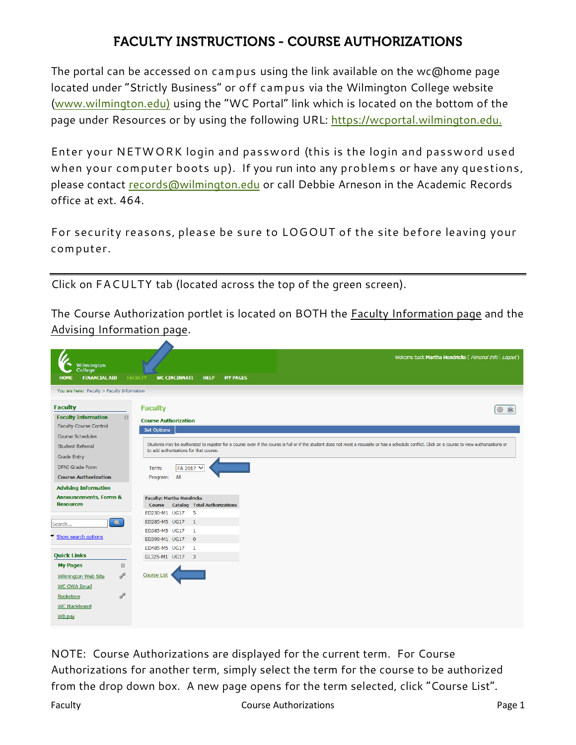## **FACULTY INSTRUCTIONS - COURSE AUTHORIZATIONS**

The portal can be accessed on campus using the link available on the wc@home page located under "Strictly Business" or off campus via the Wilmington College website [\(www.wilmington.edu\)](http://www.wilmington.edu/) using the "WC Portal" link which is located on the bottom of the page under Resources or by using the following URL: [https://wcportal.wilmington.edu.](https://wcportal.wilmington.edu/)

Enter your NETWORK login and password (this is the login and password used when your computer boots up). If you run into any problems or have any questions, please contact [records@wilmington.edu](mailto:records@wilmington.edu) or call Debbie Arneson in the Academic Records office at ext. 464.

For security reasons, please be sure to LOGOUT of the site before leaving your computer.

Click on FACULTY tab (located across the top of the green screen).

The Course Authorization portlet is located on BOTH the Faculty Information page and the Advising Information page.

| Welcome back Martha Hendricks ( Personal Info   Logout)<br>Wilmington<br>College <sup>®</sup><br><b>FINANCIAL AID</b><br><b>FACULTY</b><br><b>WC CINCINNATI</b><br><b>MY PAGES</b><br><b>HOME</b><br><b>HELP</b> |   |
|------------------------------------------------------------------------------------------------------------------------------------------------------------------------------------------------------------------|---|
|                                                                                                                                                                                                                  |   |
|                                                                                                                                                                                                                  |   |
| You are here: Faculty > Faculty Information                                                                                                                                                                      |   |
| <b>Faculty</b><br><b>Faculty</b>                                                                                                                                                                                 |   |
| $\boxdot$<br><b>Faculty Information</b>                                                                                                                                                                          | € |
| <b>Course Authorization</b><br><b>Faculty Course Control</b>                                                                                                                                                     |   |
| Set Options<br>Course Schedules                                                                                                                                                                                  |   |
| Students may be authorized to register for a course even if the course is full or if the student does not meet a requisite or has a schedule conflict. Click on a course to view authorizations or               |   |
| <b>Student Referral</b><br>to add authorizations for that course.                                                                                                                                                |   |
| <b>Grade Entry</b>                                                                                                                                                                                               |   |
| <b>DFNI Grade Form</b><br>FA 2017 V<br>Term:                                                                                                                                                                     |   |
| <b>Course Authorization</b><br>Program: All                                                                                                                                                                      |   |
| <b>Advising Information</b>                                                                                                                                                                                      |   |
| <b>Announcements, Forms &amp;</b><br><b>Faculty: Martha Hendricks</b>                                                                                                                                            |   |
| <b>Resources</b><br><b>Course Catalog Total Authorizations</b>                                                                                                                                                   |   |
| ED230-M1 UG17 5                                                                                                                                                                                                  |   |
| $\alpha$<br>ED285-M5 UG17 1<br>Search                                                                                                                                                                            |   |
| ED385-M5 UG17<br>$\mathbf{1}$                                                                                                                                                                                    |   |
| Show search options<br>ED399-M1 UG17 0                                                                                                                                                                           |   |
| ED485-M5 UG17 1                                                                                                                                                                                                  |   |
| <b>Quick Links</b><br>GL325-M1 UG17 3                                                                                                                                                                            |   |
| <b>My Pages</b><br>$\Xi$                                                                                                                                                                                         |   |
| P<br><b>Course List</b><br><b>Wilmington Web Site</b>                                                                                                                                                            |   |
| <b>WC OWA Email</b>                                                                                                                                                                                              |   |
| P<br>Bookstore                                                                                                                                                                                                   |   |
| <b>WC Blackboard</b>                                                                                                                                                                                             |   |
| <b>WILpay</b>                                                                                                                                                                                                    |   |
|                                                                                                                                                                                                                  |   |

NOTE: Course Authorizations are displayed for the current term. For Course Authorizations for another term, simply select the term for the course to be authorized from the drop down box. A new page opens for the term selected, click "Course List".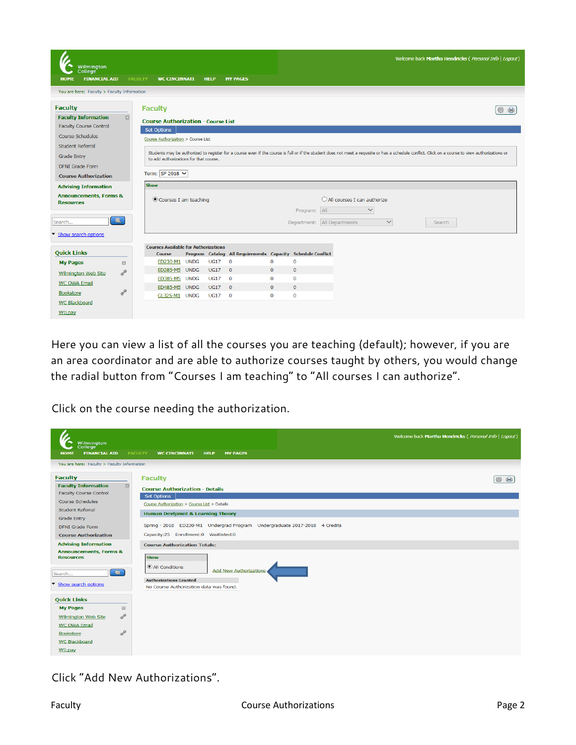| <b>Wilmington</b><br>College <sup>-</sup>                                                                         |                         |                                                                                                                                                                                                                                                                 |                                                                                 |                                                          |                                                                  |                                               |                                                            | Welcome back Martha Hendricks ( Personal Info   Logout) |  |  |
|-------------------------------------------------------------------------------------------------------------------|-------------------------|-----------------------------------------------------------------------------------------------------------------------------------------------------------------------------------------------------------------------------------------------------------------|---------------------------------------------------------------------------------|----------------------------------------------------------|------------------------------------------------------------------|-----------------------------------------------|------------------------------------------------------------|---------------------------------------------------------|--|--|
| <b>FINANCIAL AID</b><br><b>HOME</b>                                                                               |                         | <b>FACULTY</b><br><b>WC CINCINNATI</b>                                                                                                                                                                                                                          |                                                                                 | <b>HELP</b>                                              | <b>MY PAGES</b>                                                  |                                               |                                                            |                                                         |  |  |
| You are here: Faculty > Faculty Information                                                                       |                         |                                                                                                                                                                                                                                                                 |                                                                                 |                                                          |                                                                  |                                               |                                                            |                                                         |  |  |
| <b>Faculty</b>                                                                                                    |                         | <b>Faculty</b>                                                                                                                                                                                                                                                  |                                                                                 |                                                          |                                                                  |                                               |                                                            |                                                         |  |  |
| <b>Faculty Information</b><br><b>Faculty Course Control</b><br><b>Course Schedules</b><br><b>Student Referral</b> | $\boxed{::}$            | Set Options                                                                                                                                                                                                                                                     | <b>Course Authorization - Course List</b><br>Course Authorization > Course List |                                                          |                                                                  |                                               |                                                            |                                                         |  |  |
| Grade Entry<br><b>DFNI</b> Grade Form<br><b>Course Authorization</b>                                              |                         | Students may be authorized to register for a course even if the course is full or if the student does not meet a requisite or has a schedule conflict. Click on a course to view authorizations or<br>to add authorizations for that course.<br>Term: SP 2018 V |                                                                                 |                                                          |                                                                  |                                               |                                                            |                                                         |  |  |
| <b>Advising Information</b>                                                                                       |                         | <b>Show</b>                                                                                                                                                                                                                                                     |                                                                                 |                                                          |                                                                  |                                               |                                                            |                                                         |  |  |
| <b>Announcements, Forms &amp;</b><br><b>Resources</b>                                                             |                         | Courses I am teaching                                                                                                                                                                                                                                           |                                                                                 |                                                          |                                                                  |                                               | $\bigcirc$ All courses I can authorize<br>$\checkmark$     |                                                         |  |  |
| Search<br>Show search options                                                                                     | $\overline{\mathbf{O}}$ |                                                                                                                                                                                                                                                                 |                                                                                 |                                                          |                                                                  |                                               | Program: All                                               | $\checkmark$<br>Department: All Departments<br>Search   |  |  |
|                                                                                                                   |                         | <b>Courses Available for Authorizations</b>                                                                                                                                                                                                                     |                                                                                 |                                                          |                                                                  |                                               |                                                            |                                                         |  |  |
| <b>Quick Links</b>                                                                                                |                         | <b>Course</b>                                                                                                                                                                                                                                                   |                                                                                 |                                                          | Program Catalog All Requirements Capacity Schedule Conflict      |                                               |                                                            |                                                         |  |  |
| <b>My Pages</b>                                                                                                   | $\boxed{\div}$          | ED230-M1 UNDG                                                                                                                                                                                                                                                   |                                                                                 | <b>UG17</b>                                              | $\mathbf{O}$                                                     | 0                                             | $\mathbf 0$                                                |                                                         |  |  |
| Wilmington Web Site<br><b>WC OWA Email</b><br>Bookstore                                                           | $\sigma^2$<br>P         | ED285-M5 UNDG<br>ED385-M5 UNDG<br>ED485-M5 UNDG<br>GL325-M1 UNDG                                                                                                                                                                                                |                                                                                 | <b>UG17</b><br><b>UG17</b><br><b>UG17</b><br><b>UG17</b> | $\overline{0}$<br>$\mathbf{0}$<br>$\overline{0}$<br>$\mathbf{O}$ | $\mathbf{0}$<br>0<br>$\mathbf{O}$<br>$\bf{0}$ | $\mathbf{0}$<br>$\mathbf 0$<br>$\mathbf{0}$<br>$\mathbf 0$ |                                                         |  |  |
| <b>WC Blackboard</b><br>WILpay                                                                                    |                         |                                                                                                                                                                                                                                                                 |                                                                                 |                                                          |                                                                  |                                               |                                                            |                                                         |  |  |

Here you can view a list of all the courses you are teaching (default); however, if you are an area coordinator and are able to authorize courses taught by others, you would change the radial button from "Courses I am teaching" to "All courses I can authorize".

Click on the course needing the authorization.



Click "Add New Authorizations".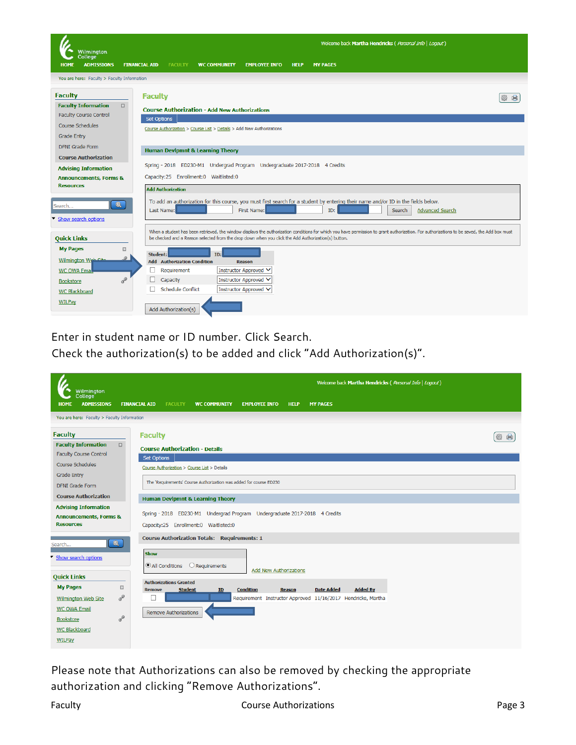

Enter in student name or ID number. Click Search.

Check the authorization(s) to be added and click "Add Authorization(s)".

|                                                                                                                                                                                                     | Welcome back Martha Hendricks (Personal Info   Logout)                                                                                                                                                                                                                                                                                                                                           |        |  |  |  |  |  |  |  |
|-----------------------------------------------------------------------------------------------------------------------------------------------------------------------------------------------------|--------------------------------------------------------------------------------------------------------------------------------------------------------------------------------------------------------------------------------------------------------------------------------------------------------------------------------------------------------------------------------------------------|--------|--|--|--|--|--|--|--|
| Wilmington<br>College<br><b>ADMISSIONS</b><br><b>HOME</b>                                                                                                                                           | <b>FINANCIAL AID</b><br><b>FACULTY</b><br><b>WC COMMUNITY</b><br><b>EMPLOYEE INFO</b><br><b>HELP</b><br><b>MY PAGES</b>                                                                                                                                                                                                                                                                          |        |  |  |  |  |  |  |  |
| You are here: Faculty > Faculty Information                                                                                                                                                         |                                                                                                                                                                                                                                                                                                                                                                                                  |        |  |  |  |  |  |  |  |
| <b>Faculty</b>                                                                                                                                                                                      | <b>Faculty</b>                                                                                                                                                                                                                                                                                                                                                                                   | 曲<br>蟲 |  |  |  |  |  |  |  |
| <b>Faculty Information</b><br>$\boxed{\Xi}$<br>Faculty Course Control                                                                                                                               | <b>Course Authorization - Details</b><br>Set Options                                                                                                                                                                                                                                                                                                                                             |        |  |  |  |  |  |  |  |
| Course Schedules<br><b>Grade Entry</b><br><b>DFNI</b> Grade Form                                                                                                                                    | Course Authorization > Course List > Details<br>The 'Requirements' Course Authorization was added for course ED230                                                                                                                                                                                                                                                                               |        |  |  |  |  |  |  |  |
| <b>Course Authorization</b><br><b>Advising Information</b>                                                                                                                                          | <b>Human Devipmnt &amp; Learning Theory</b>                                                                                                                                                                                                                                                                                                                                                      |        |  |  |  |  |  |  |  |
| <b>Announcements, Forms &amp;</b><br><b>Resources</b>                                                                                                                                               | Spring - 2018 ED230-M1 Undergrad Program Undergraduate 2017-2018 4 Credits<br>Capacity:25 Enrollment:0 Waitlisted:0                                                                                                                                                                                                                                                                              |        |  |  |  |  |  |  |  |
| $\mathbf{Q}$<br>Search<br>Show search options<br><b>Quick Links</b><br><b>My Pages</b><br>$\boxed{\Xi}$<br>P<br><b>Wilmington Web Site</b><br><b>WC OWA Email</b><br>$\sigma^2$<br><b>Bookstore</b> | <b>Course Authorization Totals: Requirements: 1</b><br>Show<br>All Conditions<br>$\bigcirc$ Requirements<br><b>Add New Authorizations</b><br><b>Authorizations Granted</b><br><b>Condition</b><br><b>Date Added</b><br><b>Added By</b><br><b>Student</b><br>ID<br><b>Remove</b><br><b>Reason</b><br>Requirement Instructor Approved 11/16/2017 Hendricks, Martha<br><b>Remove Authorizations</b> |        |  |  |  |  |  |  |  |
| <b>WC Blackboard</b><br>WILPay                                                                                                                                                                      |                                                                                                                                                                                                                                                                                                                                                                                                  |        |  |  |  |  |  |  |  |

Please note that Authorizations can also be removed by checking the appropriate authorization and clicking "Remove Authorizations".